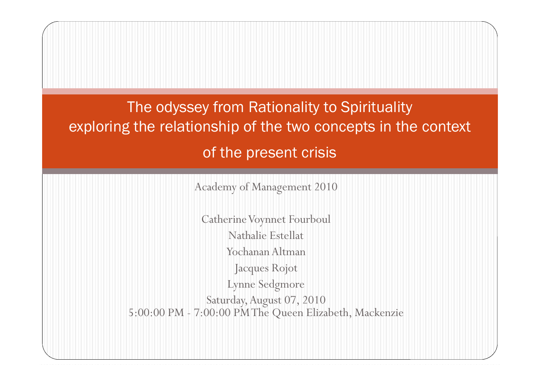The odyssey from Rationality to Spirituality exploring the relationship of the two concepts in the context of the present crisis

Academy of Management 2010

Catherine Voynnet Fourboul Nathalie Estellat Yochanan Altman Jacques Rojot Lynne Sedgmore Saturday,August 07, 2010 5:00:00 PM - 7:00:00 PMThe Queen Elizabeth, Mackenzie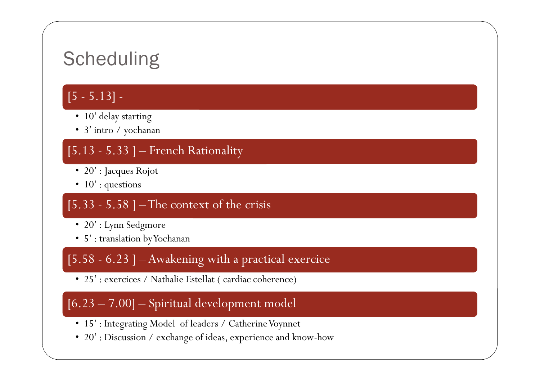### **Scheduling**

#### $[5 - 5.13]$  -

- 10' delay starting
- 3' intro / yochanan

#### $[5.13 - 5.33]$  – French Rationality

- 20' : Jacques Rojot
- $10'$ : questions

#### $[5.33 - 5.58]$  – The context of the crisis

- 20' : Lynn Sedgmore
- 5' : translation byYochanan

#### [5.58 - 6.23 ] – Awakening with a practical exercice

• 25': exercices / Nathalie Estellat ( cardiac coherence)

#### [6.23 – 7.00] – Spiritual development model

- 15': Integrating Model of leaders / Catherine Voynnet
- 20' : Discussion / exchange of ideas, experience and know-how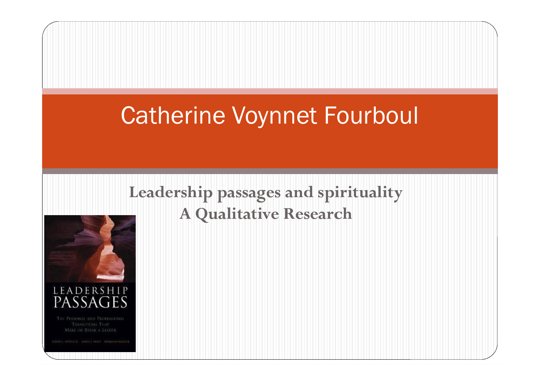### Catherine Voynnet Fourboul

#### Leadership passages and spirituality **A Qualitative Research**



MAKE OR BREAK A LEADER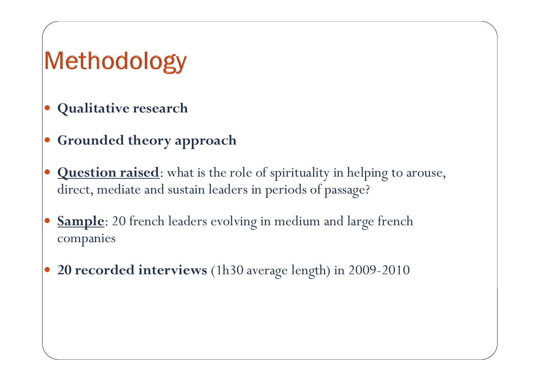## Methodology

- **Qualitative research**
- **Grounded theory approach**
- **Question raised**: what is the role of spirituality in helping to arouse, direct, mediate and sustain leaders in periods of passage?
- **Sample**: 20 french leaders evolving in medium and large french companies
- **20 recorded interviews** (1h30 average length) in 2009-2010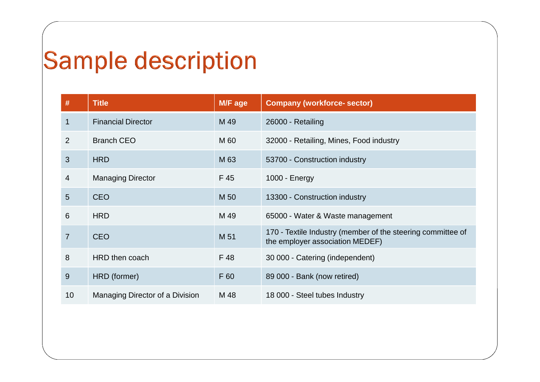## **Sample description**

| $\#$           | <b>Title</b>                    | M/F age | <b>Company (workforce-sector)</b>                                                              |
|----------------|---------------------------------|---------|------------------------------------------------------------------------------------------------|
| $\mathbf 1$    | <b>Financial Director</b>       | M 49    | 26000 - Retailing                                                                              |
| $\overline{2}$ | <b>Branch CEO</b>               | M 60    | 32000 - Retailing, Mines, Food industry                                                        |
| 3              | <b>HRD</b>                      | M 63    | 53700 - Construction industry                                                                  |
| 4              | <b>Managing Director</b>        | F 45    | 1000 - Energy                                                                                  |
| 5              | <b>CEO</b>                      | M 50    | 13300 - Construction industry                                                                  |
| 6              | <b>HRD</b>                      | M 49    | 65000 - Water & Waste management                                                               |
| $\overline{7}$ | <b>CEO</b>                      | M 51    | 170 - Textile Industry (member of the steering committee of<br>the employer association MEDEF) |
| 8              | HRD then coach                  | F 48    | 30 000 - Catering (independent)                                                                |
| 9              | HRD (former)                    | F 60    | 89 000 - Bank (now retired)                                                                    |
| 10             | Managing Director of a Division | M 48    | 18 000 - Steel tubes Industry                                                                  |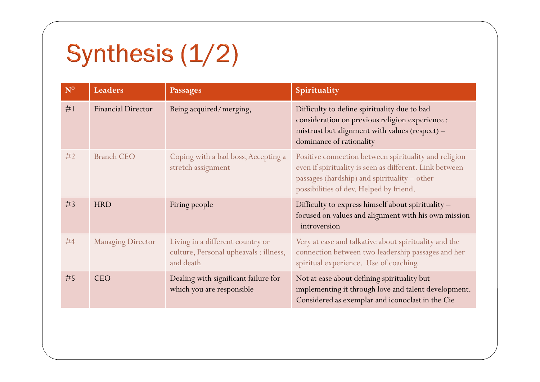# Synthesis (1/2)

| $N^{\circ}$ | <b>Leaders</b>            | <b>Passages</b>                                                                         | Spirituality                                                                                                                                                                                                |
|-------------|---------------------------|-----------------------------------------------------------------------------------------|-------------------------------------------------------------------------------------------------------------------------------------------------------------------------------------------------------------|
| #1          | <b>Financial Director</b> | Being acquired/merging,                                                                 | Difficulty to define spirituality due to bad<br>consideration on previous religion experience :<br>mistrust but alignment with values (respect) -<br>dominance of rationality                               |
| #2          | <b>Branch CEO</b>         | Coping with a bad boss, Accepting a<br>stretch assignment                               | Positive connection between spirituality and religion<br>even if spirituality is seen as different. Link between<br>passages (hardship) and spirituality - other<br>possibilities of dev. Helped by friend. |
| #3          | <b>HRD</b>                | Firing people                                                                           | Difficulty to express himself about spirituality -<br>focused on values and alignment with his own mission<br>- introversion                                                                                |
| #4          | <b>Managing Director</b>  | Living in a different country or<br>culture, Personal upheavals : illness,<br>and death | Very at ease and talkative about spirituality and the<br>connection between two leadership passages and her<br>spiritual experience. Use of coaching.                                                       |
| #5          | <b>CEO</b>                | Dealing with significant failure for<br>which you are responsible                       | Not at ease about defining spirituality but<br>implementing it through love and talent development.<br>Considered as exemplar and iconoclast in the Cie                                                     |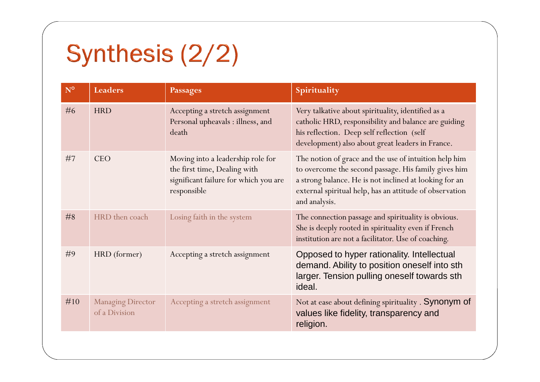# Synthesis (2/2)

| $N^{\circ}$ | <b>Leaders</b>                            | <b>Passages</b>                                                                                                           | Spirituality                                                                                                                                                                                                                                        |
|-------------|-------------------------------------------|---------------------------------------------------------------------------------------------------------------------------|-----------------------------------------------------------------------------------------------------------------------------------------------------------------------------------------------------------------------------------------------------|
| #6          | <b>HRD</b>                                | Accepting a stretch assignment<br>Personal upheavals : illness, and<br>death                                              | Very talkative about spirituality, identified as a<br>catholic HRD, responsibility and balance are guiding<br>his reflection. Deep self reflection (self<br>development) also about great leaders in France.                                        |
| #7          | <b>CEO</b>                                | Moving into a leadership role for<br>the first time, Dealing with<br>significant failure for which you are<br>responsible | The notion of grace and the use of intuition help him<br>to overcome the second passage. His family gives him<br>a strong balance. He is not inclined at looking for an<br>external spiritual help, has an attitude of observation<br>and analysis. |
| #8          | HRD then coach                            | Losing faith in the system                                                                                                | The connection passage and spirituality is obvious.<br>She is deeply rooted in spirituality even if French<br>institution are not a facilitator. Use of coaching.                                                                                   |
| #9          | HRD (former)                              | Accepting a stretch assignment                                                                                            | Opposed to hyper rationality. Intellectual<br>demand. Ability to position oneself into sth<br>larger. Tension pulling oneself towards sth<br>ideal.                                                                                                 |
| #10         | <b>Managing Director</b><br>of a Division | Accepting a stretch assignment                                                                                            | Not at ease about defining spirituality . Synonym of<br>values like fidelity, transparency and<br>religion.                                                                                                                                         |
|             |                                           |                                                                                                                           |                                                                                                                                                                                                                                                     |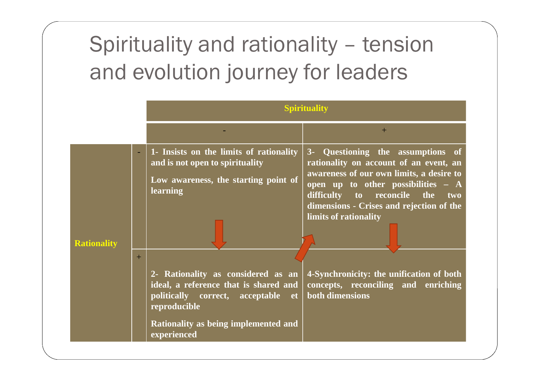## Spirituality and rationality – tension and evolution journey for leaders

|                    |     | Spirituality                                                                                                                                                                             |                                                                                                                                                                                                                                                                       |
|--------------------|-----|------------------------------------------------------------------------------------------------------------------------------------------------------------------------------------------|-----------------------------------------------------------------------------------------------------------------------------------------------------------------------------------------------------------------------------------------------------------------------|
|                    |     |                                                                                                                                                                                          | $+$                                                                                                                                                                                                                                                                   |
| <b>Rationality</b> | $+$ | 1- Insists on the limits of rationality<br>and is not open to spirituality<br>Low awareness, the starting point of<br><b>learning</b>                                                    | 3- Questioning the assumptions of<br>rationality on account of an event, an<br>awareness of our own limits, a desire to<br>open up to other possibilities - A<br>difficulty to reconcile the two<br>dimensions - Crises and rejection of the<br>limits of rationality |
|                    |     | 2- Rationality as considered as an<br>ideal, a reference that is shared and<br>politically correct, acceptable et<br>reproducible<br>Rationality as being implemented and<br>experienced | 4-Synchronicity: the unification of both<br>concepts, reconciling and enriching<br>both dimensions                                                                                                                                                                    |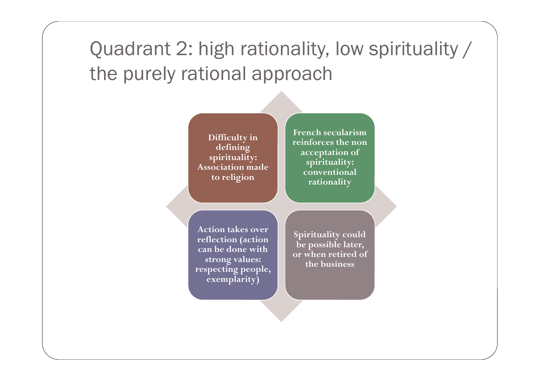### Quadrant 2: high rationality, low spirituality / the purely rational approach

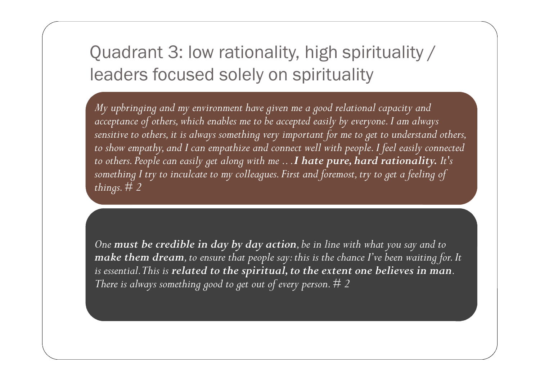#### Quadrant 3: low rationality, high spirituality / leaders focused solely on spirituality

*My upbringing and my environment have given me a good relational capacity and acceptance of others, which enables me to be accepted easily by everyone. I am always sensitive to others, it is always something very important for me to get to understand others, to show empathy, and I can empathize and connect well with people. I feel easily connected to others. People can easily get along with me .. .I hate pure, hard rationality. It's something I try to inculcate to my colleagues. First and foremost, try to get a feeling of things.# 2*

*One must be credible in day by day action, be in line with what you say and to make them dream, to ensure that people say: this is the chance I've been waiting for. It is essential.This is related to the spiritual, to the extent one believes in man. There is always something good to get out of every person. # 2*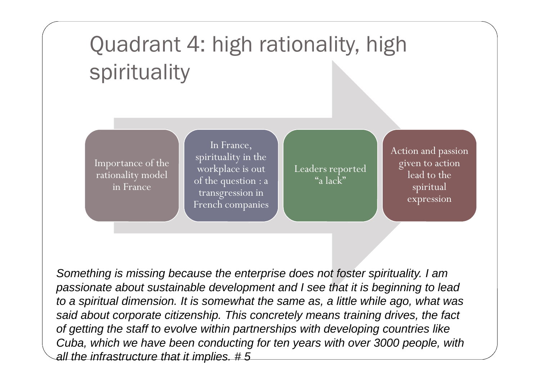## Quadrant 4: high rationality, high spirituality

Importance of the rationality model in France

In France, spirituality in the workplace is out of the question : a transgression in French companies

Leaders reported "a lack"

Action and passion given to action lead to the spiritual expression

*Something is missing because the enterprise does not foster spirituality. I am passionate about sustainable development and I see that it is beginning to lead to a spiritual dimension. It is somewhat the same as, a little while ago, what was said about corporate citizenship. This concretely means training drives, the fact of getting the staff to evolve within partnerships with developing countries like Cuba, which we have been conducting for ten years with over 3000 people, with all the infrastructure that it implies. # 5*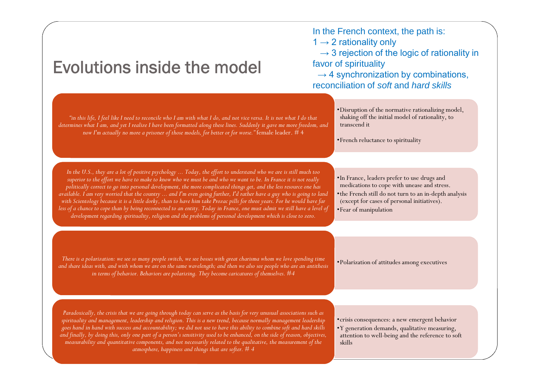#### Evolutions inside the model

In the French context, the path is:  $1 \rightarrow 2$  rationality only

 $\rightarrow$  3 rejection of the logic of rationality in favor of spirituality

 $\rightarrow$  4 synchronization by combinations, reconciliation of *soft* and *hard skills*

•Disruption of the normative rationalizing model, shaking off the initial model of rationality, to transcend it *determines what I am, and yet I realize I have been formatted along these lines. Suddenly it gave me more freedom, and*

•French reluctance to spirituality

*In the U.S., they are a lot of positive psychology ... Today, the effort to understand who we are is still much too superior to the effort we have to make to know who we must be and who we want to be. In France it is not really politically correct to go into personal development, the more complicated things get, and the less resource one has available. I am very worried that the country ... and I'm even going further, I'd rather have a guy who is going to land with Scientology because it is a little dorky, than to have him take Prozac pills for three years. For he would have far less of a chance to cope than by being reconnected to an entity. Today in France, one must admit we still have a level of development regarding spirituality, religion and the problems of personal development which is close to zero.*

*"in this life, I feel like I need to reconcile who I am with what I do, and not vice versa. It is not what I do that*

*now I'm actually no more a prisoner of those models, for better or for worse."* female leader. # 4

•In France, leaders prefer to use drugs and medications to cope with unease and stress. •the French still do not turn to an in-depth analysis (except for cases of personal initiatives). •Fear of manipulation

There is a polarization: we see so many people switch, we see bosses with great charisma whom we love spending time<br>a label is a polarization of attitudes among executives *and share ideas with, and with whom we are on the same wavelength; and then we also see people who are an antithesis in terms of behavior. Behaviors are polarizing. They become caricatures of themselves. #4*

*Paradoxically, the crisis that we are going through today can serve as the basis for very unusual associations such as spirituality and management, leadership and religion. This is a new trend, because normally management leadership goes hand in hand with success and accountability; we did not use to have this ability to combine soft and hard skills and finally, by doing this, only one part of a person's sensitivity used to be enhanced, on the side of reason, objectives, measurability and quantitative components, and not necessarily related to the qualitative, the measurement of the atmosphere, happiness and things that are softer. # 4*

•crisis consequences: a new emergent behavior

•Y generation demands, qualitative measuring, attention to well-being and the reference to soft skills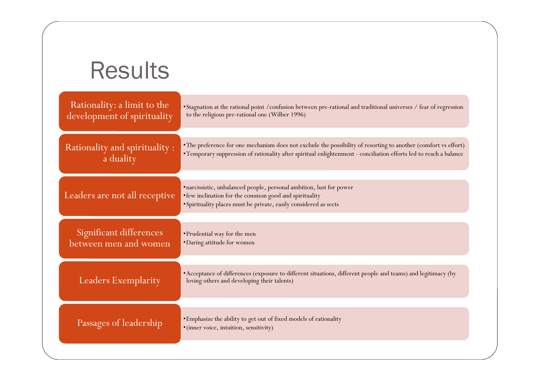| <b>Results</b>                                             |                                                                                                                                                                                                                                       |
|------------------------------------------------------------|---------------------------------------------------------------------------------------------------------------------------------------------------------------------------------------------------------------------------------------|
| Rationality: a limit to the<br>development of spirituality | •Stagnation at the rational point / confusion between pre-rational and traditional universes / fear of regression<br>to the religious pre-rational one (Wilber 1996)                                                                  |
| Rationality and spirituality :<br>a duality                | • The preference for one mechanism does not exclude the possibility of resorting to another (comfort vs effort)<br>• Temporary suppression of rationality after spiritual enlightenment - conciliation efforts led to reach a balance |
| Leaders are not all receptive                              | ·narcissistic, unbalanced people, personal ambition, lust for power<br>• few inclination for the common good and spirituality<br>· Spirituality places must be private, easily considered as sects                                    |
| Significant differences<br>between men and women           | • Prudential way for the men<br>• Daring attitude for women                                                                                                                                                                           |
| Leaders Exemplarity                                        | • Acceptance of differences (exposure to different situations, different people and teams) and legitimacy (by<br>loving others and developing their talents)                                                                          |
| Passages of leadership                                     | • Emphasize the ability to get out of fixed models of rationality<br>·(inner voice, intuition, sensitivity)                                                                                                                           |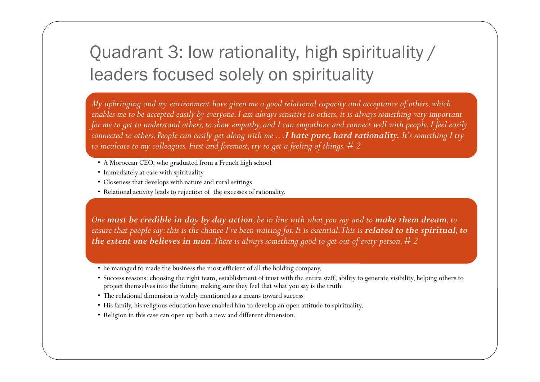#### Quadrant 3: low rationality, high spirituality / leaders focused solely on spirituality

*My upbringing and my environment have given me a good relational capacity and acceptance of others, which enables me to be accepted easily by everyone. I am always sensitive to others, it is always something very important for me to get to understand others, to show empathy, and I can empathize and connect well with people. I feel easily connected to others. People can easily get along with me .. .I hate pure, hard rationality. It's something I try to inculcate to my colleagues. First and foremost, try to get a feeling of things. # 2*

- A Moroccan CEO, who graduated from a French high school
- Immediately at ease with spirituality
- Closeness that develops with nature and rural settings
- Relational activity leads to rejection of the excesses of rationality.

*One must be credible in day by day action, be in line with what you say and to make them dream, to ensure that people say: this is the chance I've been waiting for. It is essential.This is related to the spiritual, to the extent one believes in man.There is always something good to get out of every person. # 2*

- he managed to made the business the most efficient of all the holding company.
- Success reasons: choosing the right team, establishment of trust with the entire staff, ability to generate visibility, helping others to project themselves into the future, making sure they feel that what you say is the truth.
- The relational dimension is widely mentioned as a means toward success
- His family, his religious education have enabled him to develop an open attitude to spirituality.
- Religion in this case can open up both a new and different dimension.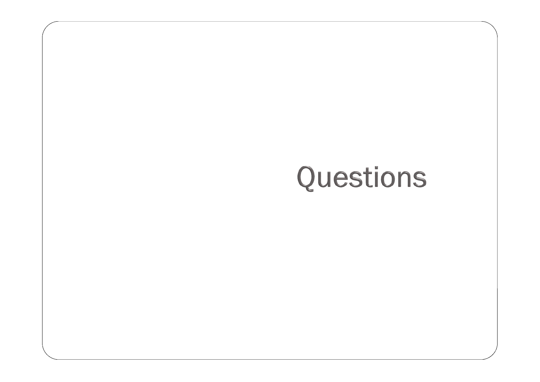# Questions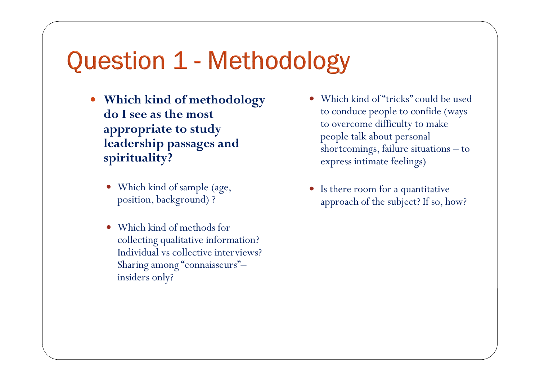### Question 1 - Methodology

- **Which kind of methodology do I see as the most appropriate to study leadership passages and spirituality?**
	- Which kind of sample (age, position, background) ?
	- Which kind of methods for collecting qualitative information? Individual vs collective interviews? Sharing among "connaisseurs"– insiders only?
- Which kind of "tricks" could be used to conduce people to confide (ways to overcome difficulty to make people talk about personal shortcomings, failure situations – to express intimate feelings)
- Is there room for a quantitative approach of the subject? If so, how?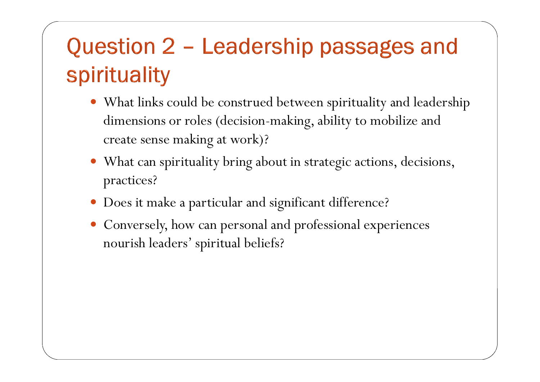## Question 2 - Leadership passages and spirituality

- What links could be construed between spirituality and leadership dimensions or roles (decision-making, ability to mobilize and create sense making at work)?
- What can spirituality bring about in strategic actions, decisions, practices?
- Does it make a particular and significant difference?
- Conversely, how can personal and professional experiences nourish leaders' spiritual beliefs?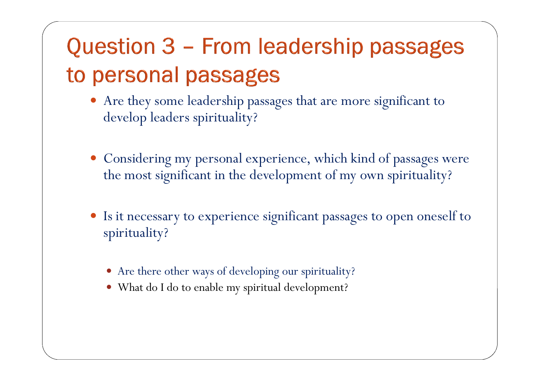## Question 3 - From leadership passages to personal passages

- Are they some leadership passages that are more significant to develop leaders spirituality?
- Considering my personal experience, which kind of passages were the most significant in the development of my own spirituality?
- Is it necessary to experience significant passages to open oneself to spirituality?
	- Are there other ways of developing our spirituality?
	- What do I do to enable my spiritual development?